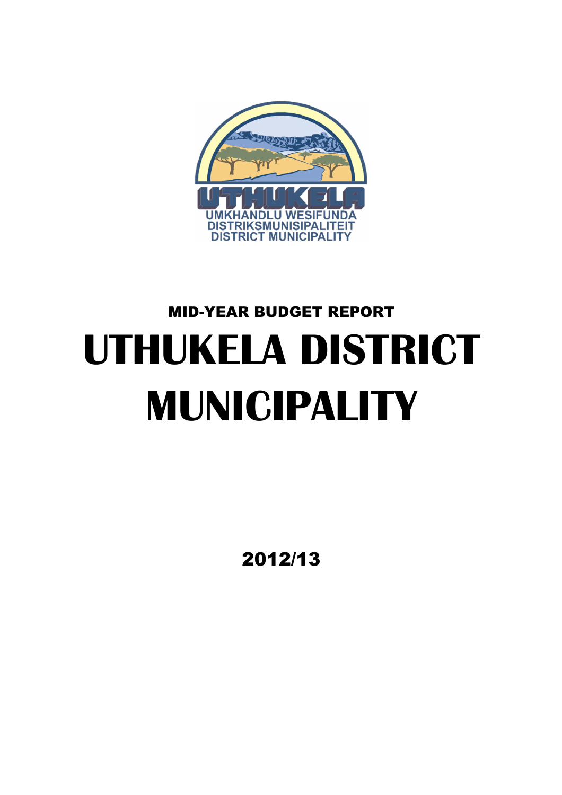

# MID-YEAR BUDGET REPORT **UTHUKELA DISTRICT MUNICIPALITY**

2012/13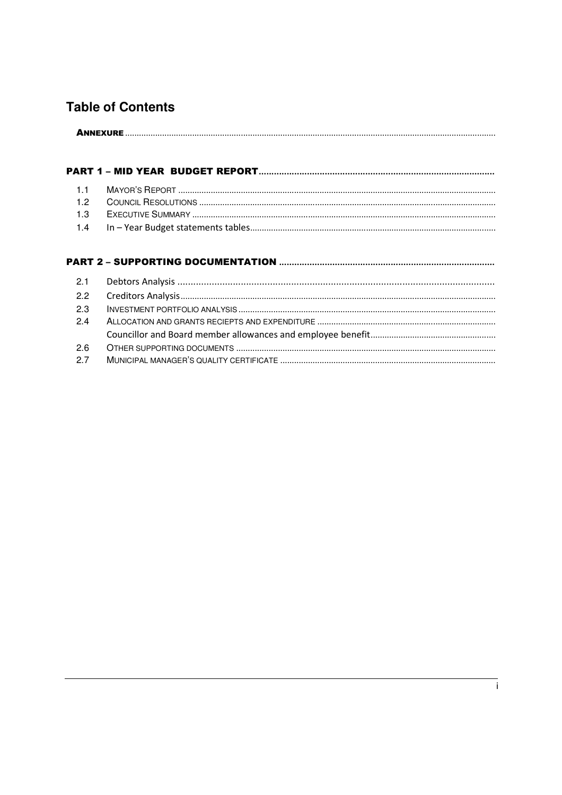## **Table of Contents**

#### 

#### 

| 2.3 |  |
|-----|--|
| 2.4 |  |
|     |  |
| 2.6 |  |
| 2.7 |  |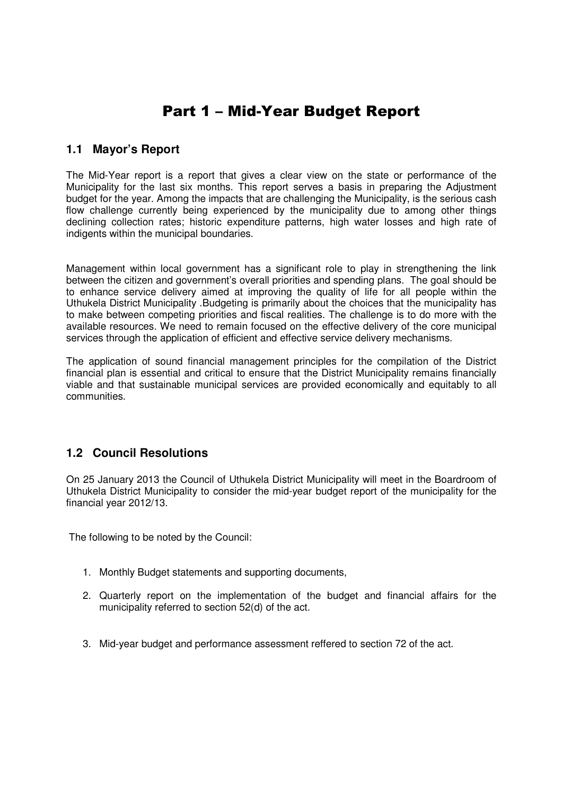# Part 1 – Mid-Year Budget Report

## **1.1 Mayor's Report**

The Mid-Year report is a report that gives a clear view on the state or performance of the Municipality for the last six months. This report serves a basis in preparing the Adjustment budget for the year. Among the impacts that are challenging the Municipality, is the serious cash flow challenge currently being experienced by the municipality due to among other things declining collection rates; historic expenditure patterns, high water losses and high rate of indigents within the municipal boundaries.

Management within local government has a significant role to play in strengthening the link between the citizen and government's overall priorities and spending plans. The goal should be to enhance service delivery aimed at improving the quality of life for all people within the Uthukela District Municipality .Budgeting is primarily about the choices that the municipality has to make between competing priorities and fiscal realities. The challenge is to do more with the available resources. We need to remain focused on the effective delivery of the core municipal services through the application of efficient and effective service delivery mechanisms.

The application of sound financial management principles for the compilation of the District financial plan is essential and critical to ensure that the District Municipality remains financially viable and that sustainable municipal services are provided economically and equitably to all communities.

## **1.2 Council Resolutions**

On 25 January 2013 the Council of Uthukela District Municipality will meet in the Boardroom of Uthukela District Municipality to consider the mid-year budget report of the municipality for the financial year 2012/13.

The following to be noted by the Council:

- 1. Monthly Budget statements and supporting documents,
- 2. Quarterly report on the implementation of the budget and financial affairs for the municipality referred to section 52(d) of the act.
- 3. Mid-year budget and performance assessment reffered to section 72 of the act.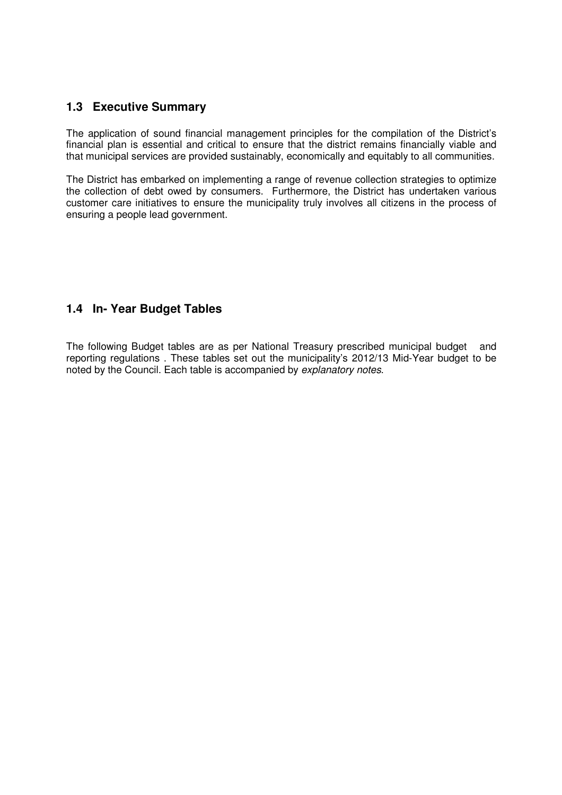## **1.3 Executive Summary**

The application of sound financial management principles for the compilation of the District's financial plan is essential and critical to ensure that the district remains financially viable and that municipal services are provided sustainably, economically and equitably to all communities.

The District has embarked on implementing a range of revenue collection strategies to optimize the collection of debt owed by consumers. Furthermore, the District has undertaken various customer care initiatives to ensure the municipality truly involves all citizens in the process of ensuring a people lead government.

## **1.4 In- Year Budget Tables**

The following Budget tables are as per National Treasury prescribed municipal budget and reporting regulations . These tables set out the municipality's 2012/13 Mid-Year budget to be noted by the Council. Each table is accompanied by explanatory notes.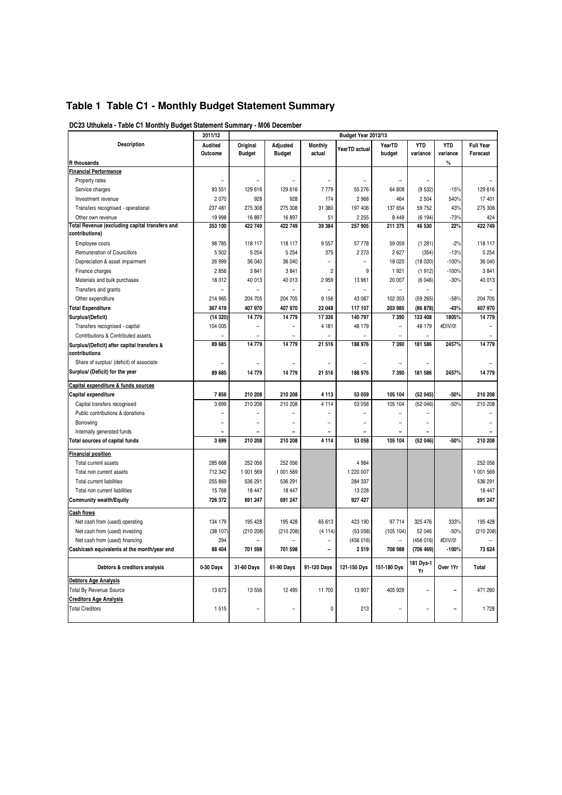## **Table 1 Table C1 - Monthly Budget Statement Summary**

|                                                              | 2011/12   |               |                |                | Budget Year 2012/13 |             |                 |            |                  |  |  |  |
|--------------------------------------------------------------|-----------|---------------|----------------|----------------|---------------------|-------------|-----------------|------------|------------------|--|--|--|
| <b>Description</b>                                           | Audited   | Original      | Adjusted       | <b>Monthly</b> | YearTD actual       | YearTD      | <b>YTD</b>      | <b>YTD</b> | <b>Full Year</b> |  |  |  |
|                                                              | Outcome   | <b>Budget</b> | <b>Budget</b>  | actual         |                     | budget      | variance        | variance   | Forecast         |  |  |  |
| R thousands                                                  |           |               |                |                |                     |             |                 | $\%$       |                  |  |  |  |
| <b>Financial Performance</b>                                 |           |               |                |                |                     |             |                 |            |                  |  |  |  |
| Property rates                                               |           |               |                |                |                     |             |                 |            |                  |  |  |  |
| Service charges                                              | 93 551    | 129 616       | 129 616        | 7779           | 55 276              | 64 808      | (9532)          | $-15%$     | 129 616          |  |  |  |
| Investment revenue                                           | 2 0 7 0   | 928           | 928            | 174            | 2 9 6 8             | 464         | 2 5 0 4         | 540%       | 17 401           |  |  |  |
| Transfers recognised - operational                           | 237 481   | 275 308       | 275 308        | 31 380         | 197 406             | 137 654     | 59 752          | 43%        | 275 308          |  |  |  |
| Other own revenue                                            | 19 998    | 16 897        | 16 897         | 51             | 2 2 5 5             | 8 4 4 9     | (6194)          | $-73%$     | 424              |  |  |  |
| Total Revenue (excluding capital transfers and               | 353 100   | 422 749       | 422 749        | 39 384         | 257 905             | 211 375     | 46 530          | 22%        | 422 749          |  |  |  |
| contributions)                                               |           |               |                |                |                     |             |                 |            |                  |  |  |  |
| <b>Employee costs</b>                                        | 98 785    | 118 117       | 118 117        | 9557           | 57 778              | 59 059      | (1281)          | $-2%$      | 118 117          |  |  |  |
| <b>Remuneration of Councillors</b>                           | 5 5 0 2   | 5 2 5 4       | 5 2 5 4        | 375            | 2 2 7 3             | 2627        | (354)           | $-13%$     | 5 2 5 4          |  |  |  |
| Depreciation & asset impairment                              | 26 999    | 36 040        | 36 040         |                | ÷                   | 18 0 20     | (18020)         | $-100%$    | 36 040           |  |  |  |
| Finance charges                                              | 2856      | 3841          | 3841           | $\overline{2}$ | 9                   | 1921        | (1912)          | $-100%$    | 3841             |  |  |  |
| Materials and bulk purchases                                 | 18 312    | 40 013        | 40 013         | 2959           | 13 961              | 20 007      | (6046)          | $-30%$     | 40 013           |  |  |  |
| Transfers and grants                                         |           |               | $\overline{a}$ | $\overline{a}$ |                     |             |                 |            |                  |  |  |  |
| Other expenditure                                            | 214 965   | 204 705       | 204 705        | 9 1 5 6        | 43 087              | 102 353     | (59265)         | $-58%$     | 204 705          |  |  |  |
| <b>Total Expenditure</b>                                     | 367 419   | 407 970       | 407 970        | 22 048         | 117 107             | 203 985     | (86 878)        | $-43%$     | 407 970          |  |  |  |
| Surplus/(Deficit)                                            | (14320)   | 14779         | 14779          | 17 336         | 140 797             | 7390        | 133 408         | 1805%      | 14779            |  |  |  |
| Transfers recognised - capital                               | 104 005   |               |                | 4 181          | 48 179              |             | 48 179          | #DIV/0!    |                  |  |  |  |
| Contributions & Contributed assets                           |           |               |                |                |                     |             |                 |            |                  |  |  |  |
| Surplus/(Deficit) after capital transfers &<br>contributions | 89 685    | 14779         | 14779          | 21 516         | 188 976             | 7390        | 181 586         | 2457%      | 14779            |  |  |  |
| Share of surplus/ (deficit) of associate                     |           |               |                |                |                     |             |                 |            |                  |  |  |  |
| Surplus/ (Deficit) for the year                              | 89 685    | 14779         | 14779          | 21516          | 188 976             | 7390        | 181 586         | 2457%      | 14779            |  |  |  |
| Capital expenditure & funds sources                          |           |               |                |                |                     |             |                 |            |                  |  |  |  |
| Capital expenditure                                          | 7856      | 210 208       | 210 208        | 4 1 1 3        | 53 059              | 105 104     | (52045)         | $-50%$     | 210 208          |  |  |  |
| Capital transfers recognised                                 | 3699      | 210 208       | 210 208        | 4 1 1 4        | 53 058              | 105 104     | (52046)         | $-50%$     | 210 208          |  |  |  |
| Public contributions & donations                             |           |               |                |                |                     |             |                 |            |                  |  |  |  |
| Borrowing                                                    |           |               |                |                |                     |             |                 |            |                  |  |  |  |
| Internally generated funds                                   |           |               |                |                |                     |             |                 |            |                  |  |  |  |
| Total sources of capital funds                               | 3699      | 210 208       | 210 208        | 4 1 1 4        | 53 058              | 105 104     | (52046)         | $-50%$     | 210 208          |  |  |  |
| <b>Financial position</b>                                    |           |               |                |                |                     |             |                 |            |                  |  |  |  |
| Total current assets                                         | 285 668   | 252 056       | 252 056        |                | 4 9 8 4             |             |                 |            | 252 056          |  |  |  |
| Total non current assets                                     | 712 342   | 1 001 569     | 1 001 569      |                | 1 220 007           |             |                 |            | 1 001 569        |  |  |  |
| <b>Total current liabilities</b>                             | 255 869   | 536 291       | 536 291        |                | 284 337             |             |                 |            | 536 291          |  |  |  |
| Total non current liabilities                                | 15 768    | 18 447        | 18 447         |                | 13 2 28             |             |                 |            | 18 447           |  |  |  |
| <b>Community wealth/Equity</b>                               | 726 372   | 691 247       | 691 247        |                | 927 427             |             |                 |            | 691 247          |  |  |  |
|                                                              |           |               |                |                |                     |             |                 |            |                  |  |  |  |
| Cash flows                                                   | 134 179   | 195 428       | 195 428        | 65 613         | 423 190             | 97 714      | 325 476         | 333%       | 195 428          |  |  |  |
| Net cash from (used) operating                               | (38 107)  | (210 208)     | (210 208)      | (4114)         | (53058)             | (105 104)   | 52 046          | $-50%$     | (210 208)        |  |  |  |
| Net cash from (used) investing                               |           |               |                |                |                     |             |                 |            |                  |  |  |  |
| Net cash from (used) financing                               | 294       |               |                |                | (456016)            |             | (456016)        | #DIV/0!    |                  |  |  |  |
| Cash/cash equivalents at the month/year end                  | 88 404    | 701 598       | 701 598        |                | 2 5 1 9             | 708 988     | (706 469)       | $-100%$    | 73 624           |  |  |  |
| Debtors & creditors analysis                                 | 0-30 Days | 31-60 Days    | 61-90 Days     | 91-120 Days    | 121-150 Dys         | 151-180 Dys | 181 Dys-1<br>Yr | Over 1Yr   | Total            |  |  |  |
| <b>Debtors Age Analysis</b>                                  |           |               |                |                |                     |             |                 |            |                  |  |  |  |
| <b>Total By Revenue Source</b>                               | 13 673    | 13 556        | 12 4 9 5       | 11700          | 13 907              | 405 929     |                 |            | 471 260          |  |  |  |
| <b>Creditors Age Analysis</b>                                |           |               |                |                |                     |             |                 |            |                  |  |  |  |
| <b>Total Creditors</b>                                       | 1515      |               |                | 0              | 213                 |             |                 |            | 1728             |  |  |  |
|                                                              |           |               |                |                |                     |             |                 |            |                  |  |  |  |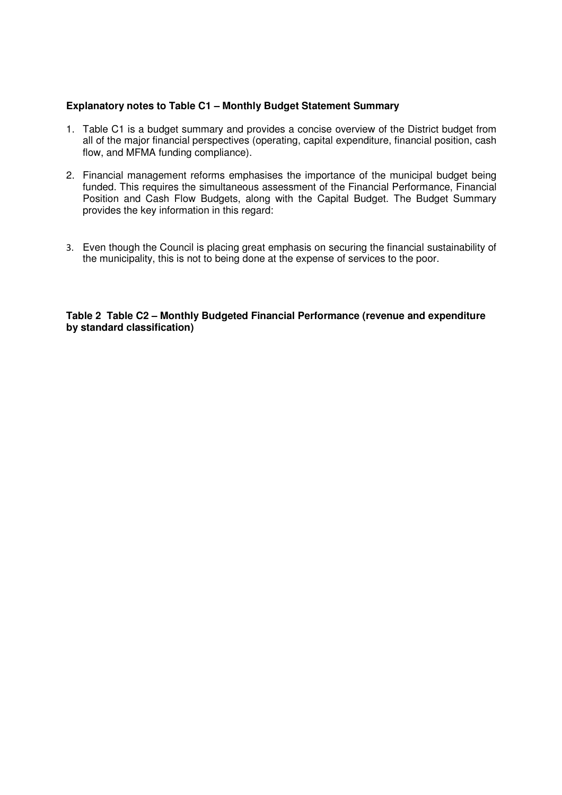#### **Explanatory notes to Table C1 – Monthly Budget Statement Summary**

- 1. Table C1 is a budget summary and provides a concise overview of the District budget from all of the major financial perspectives (operating, capital expenditure, financial position, cash flow, and MFMA funding compliance).
- 2. Financial management reforms emphasises the importance of the municipal budget being funded. This requires the simultaneous assessment of the Financial Performance, Financial Position and Cash Flow Budgets, along with the Capital Budget. The Budget Summary provides the key information in this regard:
- 3. Even though the Council is placing great emphasis on securing the financial sustainability of the municipality, this is not to being done at the expense of services to the poor.

**Table 2 Table C2 – Monthly Budgeted Financial Performance (revenue and expenditure by standard classification)**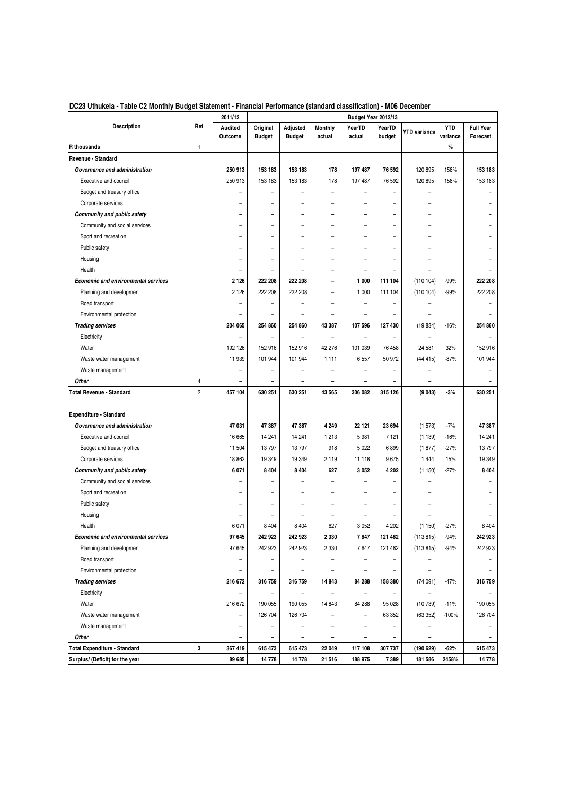|                                            |                | 2011/12                  |                           |                           |                          | Budget Year 2012/13      |                              |                          |                        |                              |
|--------------------------------------------|----------------|--------------------------|---------------------------|---------------------------|--------------------------|--------------------------|------------------------------|--------------------------|------------------------|------------------------------|
| <b>Description</b>                         | Ref            | Audited<br>Outcome       | Original<br><b>Budget</b> | Adjusted<br><b>Budget</b> | Monthly<br>actual        | YearTD<br>actual         | YearTD<br>budget             | <b>YTD variance</b>      | <b>YTD</b><br>variance | <b>Full Year</b><br>Forecast |
| R thousands                                | 1              |                          |                           |                           |                          |                          |                              |                          | $\%$                   |                              |
| Revenue - Standard                         |                |                          |                           |                           |                          |                          |                              |                          |                        |                              |
| Governance and administration              |                | 250 913                  | 153 183                   | 153 183                   | 178                      | 197 487                  | 76 592                       | 120 895                  | 158%                   | 153 183                      |
| Executive and council                      |                | 250 913                  | 153 183                   | 153 183                   | 178                      | 197 487                  | 76 592                       | 120 895                  | 158%                   | 153 183                      |
| Budget and treasury office                 |                | -                        | $\overline{\phantom{0}}$  | $\overline{a}$            | $\overline{\phantom{0}}$ | -                        | $\overline{\phantom{0}}$     | $\overline{\phantom{0}}$ |                        |                              |
| Corporate services                         |                | $\overline{a}$           | ۳                         | $\overline{a}$            | $\overline{a}$           | -                        | ۳                            | $\overline{a}$           |                        |                              |
| <b>Community and public safety</b>         |                | $\overline{\phantom{0}}$ | $\overline{\phantom{a}}$  | $\overline{\phantom{0}}$  | ۰                        | ۰                        | $\blacksquare$               | $\overline{\phantom{0}}$ |                        |                              |
| Community and social services              |                | $\overline{a}$           | $\overline{\phantom{0}}$  | $\overline{\phantom{a}}$  | $\overline{a}$           | $\overline{a}$           | $\overline{\phantom{0}}$     | $\overline{\phantom{0}}$ |                        |                              |
| Sport and recreation                       |                | $\overline{a}$           | ۳                         | $\overline{\phantom{0}}$  | $\overline{a}$           | $\overline{a}$           | $\overline{a}$               | $\overline{a}$           |                        |                              |
| Public safety                              |                | -                        |                           | $\overline{a}$            | -                        | -                        | $\overline{a}$               | $\overline{\phantom{0}}$ |                        |                              |
| Housing                                    |                | -                        | $\overline{a}$            | $\overline{a}$            | -                        | -                        | $\overline{a}$               | $\overline{a}$           |                        |                              |
| Health                                     |                | $\overline{a}$           |                           |                           |                          |                          |                              |                          |                        |                              |
| <b>Economic and environmental services</b> |                | 2 1 2 6                  | 222 208                   | 222 208                   | -                        | 1 000                    | 111 104                      | (110104)                 | $-99%$                 | 222 208                      |
| Planning and development                   |                | 2 1 2 6                  | 222 208                   | 222 208                   | $\overline{a}$           | 1 000                    | 111 104                      | (110104)                 | $-99%$                 | 222 208                      |
| Road transport                             |                | -                        |                           | $\overline{\phantom{0}}$  | $\overline{a}$           | $\overline{a}$           |                              |                          |                        |                              |
| Environmental protection                   |                | $\overline{\phantom{0}}$ |                           | $\overline{\phantom{a}}$  |                          | $\overline{a}$           | $\overline{a}$               | $\overline{a}$           |                        |                              |
| <b>Trading services</b>                    |                | 204 065                  | 254 860                   | 254 860                   | 43 387                   | 107 596                  | 127 430                      | (19834)                  | $-16%$                 | 254 860                      |
| Electricity                                |                | $\overline{a}$           |                           | $\overline{a}$            | $\overline{a}$           | $\overline{\phantom{0}}$ |                              |                          |                        |                              |
| Water                                      |                | 192 126                  | 152 916                   | 152 916                   | 42 276                   | 101 039                  | 76 458                       | 24 581                   | 32%                    | 152 916                      |
| Waste water management                     |                | 11 939                   | 101 944                   | 101 944                   | 1 1 1 1                  | 6557                     | 50 972                       | (44415)                  | $-87%$                 | 101 944                      |
| Waste management                           |                | $\overline{a}$           |                           | $\overline{\phantom{0}}$  | $\overline{a}$           | $\overline{a}$           | -                            | $\overline{\phantom{0}}$ |                        |                              |
| Other                                      | 4              | $\qquad \qquad$          | $\overline{\phantom{a}}$  | $\overline{\phantom{a}}$  | -                        | -                        | $\overline{\phantom{a}}$     | $\overline{\phantom{a}}$ |                        |                              |
| Total Revenue - Standard                   | $\overline{2}$ | 457 104                  | 630 251                   | 630 251                   | 43 565                   | 306 082                  | 315 126                      | (9043)                   | $-3%$                  | 630 251                      |
|                                            |                |                          |                           |                           |                          |                          |                              |                          |                        |                              |
| <b>Expenditure - Standard</b>              |                |                          |                           |                           |                          |                          |                              |                          |                        |                              |
| Governance and administration              |                | 47 031                   | 47 387                    | 47 387                    | 4 2 4 9                  | 22 121                   | 23 694                       | (1573)                   | $-7%$                  | 47 387                       |
| Executive and council                      |                | 16 665                   | 14 24 1                   | 14 241                    | 1 2 1 3                  | 5 9 8 1                  | 7 1 2 1                      | (1139)                   | $-16%$                 | 14 241                       |
| Budget and treasury office                 |                | 11 504                   | 13797                     | 13797                     | 918                      | 5 0 2 2                  | 6899                         | (1877)                   | $-27%$                 | 13797                        |
| Corporate services                         |                | 18 862                   | 19 349                    | 19 349                    | 2 1 1 9                  | 11 118                   | 9675                         | 1 4 4 4                  | 15%                    | 19 349                       |
| <b>Community and public safety</b>         |                | 6 0 7 1                  | 8 4 0 4                   | 8 4 0 4                   | 627                      | 3 0 5 2                  | 4 202                        | (1150)                   | $-27%$                 | 8 4 0 4                      |
| Community and social services              |                | L,                       |                           |                           |                          |                          |                              | $\overline{a}$           |                        |                              |
| Sport and recreation                       |                | $\overline{\phantom{0}}$ |                           | $\overline{a}$            |                          |                          |                              | $\overline{a}$           |                        |                              |
| Public safety                              |                | -                        |                           | $\overline{a}$            | $\overline{a}$           | -                        | $\overline{a}$               | $\overline{a}$           |                        |                              |
| Housing                                    |                | $\overline{\phantom{a}}$ |                           | $\overline{\phantom{a}}$  | $\overline{a}$           | ۳                        | $\overline{\phantom{a}}$     | ۳                        |                        |                              |
| Health                                     |                | 6 0 71                   | 8 4 0 4                   | 8 4 0 4                   | 627                      | 3 0 5 2                  | 4 202                        | (1150)                   | $-27%$                 | 8 4 0 4                      |
| <b>Economic and environmental services</b> |                | 97 645                   | 242 923                   | 242 923                   | 2 330                    | 7647                     | 121 462                      | (113 815)                | -94%                   | 242 923                      |
| Planning and development                   |                | 97 645                   | 242 923                   | 242 923                   | 2 3 3 0                  | 7647                     | 121 462                      | (113 815)                | $-94%$                 | 242 923                      |
| Road transport                             |                | -                        |                           |                           |                          |                          |                              |                          |                        |                              |
| Environmental protection                   |                | -                        |                           |                           |                          | -                        |                              | $\qquad \qquad -$        |                        |                              |
| <b>Trading services</b>                    |                | 216 672                  | 316 759                   | 316 759                   | 14 843                   | 84 288                   | 158 380                      | (74091)                  | $-47%$                 | 316 759                      |
| Electricity                                |                | -                        |                           | $\qquad \qquad -$         |                          | -                        |                              |                          |                        |                              |
| Water                                      |                | 216 672                  | 190 055                   | 190 055                   | 14 843                   | 84 288                   | 95 0 28                      | (10739)                  | $-11%$                 | 190 055                      |
| Waste water management                     |                | -                        | 126 704                   | 126 704                   | $\overline{\phantom{0}}$ | -                        | 63 352                       | (63 352)                 | $-100%$                | 126 704                      |
| Waste management                           |                | $\overline{\phantom{0}}$ |                           |                           | -                        | -                        |                              | -                        |                        |                              |
| Other                                      |                | -                        |                           | $\overline{\phantom{a}}$  | -                        |                          | $\qquad \qquad \blacksquare$ | $\qquad \qquad -$        |                        | $\overline{\phantom{a}}$     |
| Total Expenditure - Standard               | 3              | 367 419                  | 615 473                   | 615 473                   | 22 049                   | 117 108                  | 307 737                      | (190629)                 | $-62%$                 | 615 473                      |
| Surplus/ (Deficit) for the year            |                | 89 685                   | 14778                     | 14 778                    | 21 516                   | 188 975                  | 7389                         | 181 586                  | 2458%                  | 14 778                       |

#### **DC23 Uthukela - Table C2 Monthly Budget Statement - Financial Performance (standard classification) - M06 December**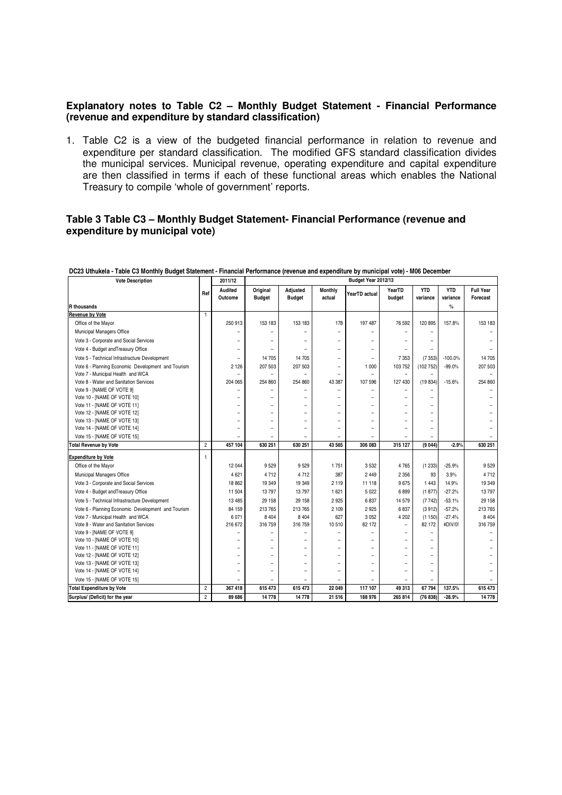#### **Explanatory notes to Table C2 – Monthly Budget Statement - Financial Performance (revenue and expenditure by standard classification)**

1. Table C2 is a view of the budgeted financial performance in relation to revenue and expenditure per standard classification. The modified GFS standard classification divides the municipal services. Municipal revenue, operating expenditure and capital expenditure are then classified in terms if each of these functional areas which enables the National Treasury to compile 'whole of government' reports.

#### **Table 3 Table C3 – Monthly Budget Statement- Financial Performance (revenue and expenditure by municipal vote)**

| <b>Vote Description</b>                            |                | 2011/12                  | Budget Year 2012/13       |                           |                          |                          |                          |                          |                        |                              |
|----------------------------------------------------|----------------|--------------------------|---------------------------|---------------------------|--------------------------|--------------------------|--------------------------|--------------------------|------------------------|------------------------------|
|                                                    | Ref            | Audited<br>Outcome       | Original<br><b>Budget</b> | Adjusted<br><b>Budget</b> | Monthly<br>actual        | YearTD actual            | YearTD<br>budget         | <b>YTD</b><br>variance   | <b>YTD</b><br>variance | <b>Full Year</b><br>Forecast |
| <b>R</b> thousands                                 |                |                          |                           |                           |                          |                          |                          |                          | $\frac{0}{0}$          |                              |
| <b>Revenue by Vote</b>                             | 1              |                          |                           |                           |                          |                          |                          |                          |                        |                              |
| Office of the Mayor                                |                | 250 913                  | 153 183                   | 153 183                   | 178                      | 197 487                  | 76 592                   | 120 895                  | 157.8%                 | 153 183                      |
| Municipal Managers Office                          |                |                          |                           |                           | $\overline{\phantom{a}}$ |                          |                          | $\overline{\phantom{0}}$ |                        |                              |
| Vote 3 - Corporate and Social Services             |                |                          |                           |                           |                          |                          |                          |                          |                        |                              |
| Vote 4 - Budget and Treasury Office                |                | $\overline{\phantom{0}}$ |                           | $\overline{\phantom{0}}$  | $\equiv$                 | ۰                        | $\overline{\phantom{a}}$ | $\equiv$                 |                        |                              |
| Vote 5 - Technical Infrastracture Development      |                | $\overline{\phantom{0}}$ | 14 705                    | 14 705                    | $\equiv$                 | $\overline{\phantom{a}}$ | 7 3 5 3                  | (7353)                   | $-100.0%$              | 14705                        |
| Vote 6 - Planning Economic Development and Tourism |                | 2 1 2 6                  | 207 503                   | 207 503                   | ۰                        | 1 000                    | 103 752                  | (102 752)                | $-99.0%$               | 207 503                      |
| Vote 7 - Municipal Health and WCA                  |                |                          | $\overline{\phantom{0}}$  | $\qquad \qquad -$         | $\overline{\phantom{a}}$ | -                        |                          | $\overline{\phantom{a}}$ |                        |                              |
| Vote 8 - Water and Sanitation Services             |                | 204 065                  | 254 860                   | 254 860                   | 43 387                   | 107 596                  | 127 430                  | (19 834)                 | $-15.6%$               | 254 860                      |
| Vote 9 - [NAME OF VOTE 9]                          |                |                          | $\overline{\phantom{0}}$  | $\overline{\phantom{0}}$  | $\overline{\phantom{0}}$ |                          |                          | $\overline{\phantom{a}}$ |                        |                              |
| Vote 10 - [NAME OF VOTE 10]                        |                |                          |                           |                           | $\equiv$                 | $\overline{ }$           |                          | $\overline{\phantom{a}}$ |                        |                              |
| Vote 11 - [NAME OF VOTE 11]                        |                | $\overline{\phantom{0}}$ | $\overline{\phantom{0}}$  | $\overline{\phantom{0}}$  | $\equiv$                 | $\overline{\phantom{0}}$ | $\overline{\phantom{0}}$ | $\overline{\phantom{m}}$ |                        |                              |
| Vote 12 - [NAME OF VOTE 12]                        |                | $\equiv$                 | $\overline{\phantom{0}}$  | $\overline{\phantom{0}}$  | $\equiv$                 | ۰                        |                          | $\overline{\phantom{0}}$ |                        |                              |
| Vote 13 - [NAME OF VOTE 13]                        |                | $\equiv$                 | $\overline{\phantom{0}}$  | L.                        | L.                       |                          |                          | $\equiv$                 |                        |                              |
| Vote 14 - [NAME OF VOTE 14]                        |                | $\overline{\phantom{0}}$ | $\overline{\phantom{0}}$  |                           | $\overline{\phantom{a}}$ | <u>.</u>                 |                          | $\overline{\phantom{0}}$ |                        |                              |
| Vote 15 - [NAME OF VOTE 15]                        |                |                          |                           |                           |                          |                          |                          |                          |                        |                              |
| <b>Total Revenue by Vote</b>                       | $\overline{2}$ | 457 104                  | 630 251                   | 630 251                   | 43 565                   | 306 083                  | 315 127                  | (9044)                   | $-2.9%$                | 630 251                      |
| <b>Expenditure by Vote</b>                         | 1              |                          |                           |                           |                          |                          |                          |                          |                        |                              |
| Office of the Mayor                                |                | 12 044                   | 9529                      | 9529                      | 1751                     | 3532                     | 4765                     | (1233)                   | $-25.9%$               | 9529                         |
| Municipal Managers Office                          |                | 4 6 21                   | 4712                      | 4712                      | 387                      | 2 4 4 9                  | 2 3 5 6                  | 93                       | 3.9%                   | 4712                         |
| Vote 3 - Corporate and Social Services             |                | 18 862                   | 19 349                    | 19 349                    | 2 1 1 9                  | 11 118                   | 9675                     | 1 4 4 3                  | 14.9%                  | 19349                        |
| Vote 4 - Budget and Treasury Office                |                | 11 504                   | 13797                     | 13797                     | 1 621                    | 5 0 2 2                  | 6899                     | (1877)                   | $-27.2%$               | 13797                        |
| Vote 5 - Technical Infrastracture Development      |                | 13 4 8 5                 | 29 158                    | 29 158                    | 2925                     | 6837                     | 14 579                   | (7742)                   | $-53.1%$               | 29 158                       |
| Vote 6 - Planning Economic Development and Tourism |                | 84 159                   | 213 765                   | 213 765                   | 2 109                    | 2 9 2 5                  | 6837                     | (3912)                   | $-57.2%$               | 213765                       |
| Vote 7 - Municipal Health and WCA                  |                | 6 0 71                   | 8 4 0 4                   | 8 4 0 4                   | 627                      | 3 0 5 2                  | 4 2 0 2                  | (1150)                   | $-27.4%$               | 8 4 0 4                      |
| Vote 8 - Water and Sanitation Services             |                | 216 672                  | 316 759                   | 316 759                   | 10 510                   | 82 172                   | $\equiv$                 | 82 172                   | #DIV/0!                | 316 759                      |
| Vote 9 - [NAME OF VOTE 9]                          |                |                          |                           |                           | ۰                        |                          |                          |                          |                        |                              |
| Vote 10 - [NAME OF VOTE 10]                        |                |                          |                           |                           | $\equiv$                 |                          |                          |                          |                        |                              |
| Vote 11 - [NAME OF VOTE 11]                        |                | $\overline{\phantom{0}}$ | $\overline{\phantom{0}}$  | $\overline{\phantom{0}}$  | $\equiv$                 | $\overline{\phantom{0}}$ |                          | $\overline{\phantom{0}}$ |                        |                              |
| Vote 12 - [NAME OF VOTE 12]                        |                |                          | $\overline{\phantom{0}}$  |                           | $\equiv$                 |                          |                          | $\overline{\phantom{0}}$ |                        |                              |
| Vote 13 - [NAME OF VOTE 13]                        |                | $\overline{\phantom{0}}$ | $\overline{\phantom{0}}$  | $\overline{\phantom{0}}$  | $\equiv$                 |                          |                          | $\overline{\phantom{0}}$ |                        |                              |
| Vote 14 - [NAME OF VOTE 14]                        |                | $\overline{\phantom{0}}$ | $\overline{\phantom{0}}$  |                           | $\overline{\phantom{a}}$ |                          | ۰                        | $\overline{\phantom{a}}$ |                        |                              |
| Vote 15 - [NAME OF VOTE 15]                        |                |                          |                           | $\overline{\phantom{0}}$  | $\qquad \qquad -$        |                          | ۰                        | $\overline{\phantom{a}}$ |                        |                              |
| <b>Total Expenditure by Vote</b>                   | $\overline{c}$ | 367 418                  | 615 473                   | 615 473                   | 22 049                   | 117 107                  | 49 313                   | 67 794                   | 137.5%                 | 615 473                      |
| Surplus/ (Deficit) for the year                    | $\overline{2}$ | 89 686                   | 14778                     | 14778                     | 21 516                   | 188 976                  | 265 814                  | (76 838)                 | $-28.9%$               | 14778                        |

**DC23 Uthukela - Table C3 Monthly Budget Statement - Financial Performance (revenue and expenditure by municipal vote) - M06 December**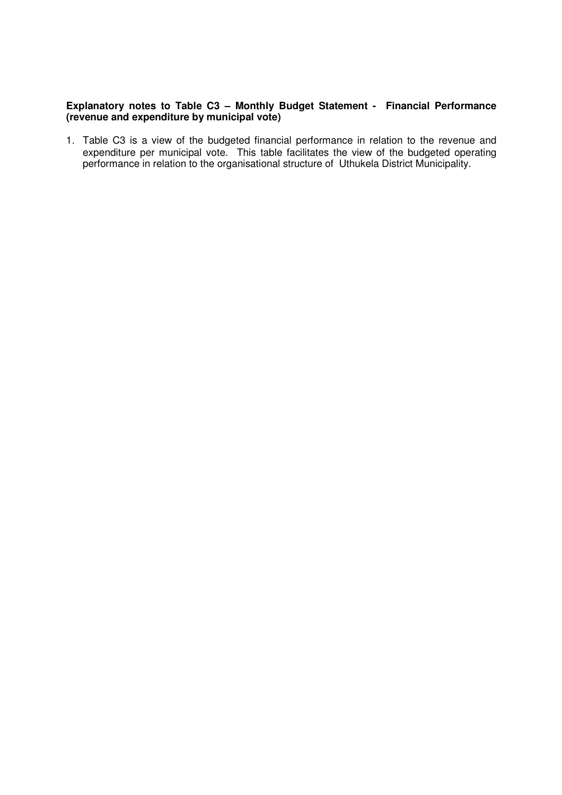#### **Explanatory notes to Table C3 – Monthly Budget Statement - Financial Performance (revenue and expenditure by municipal vote)**

1. Table C3 is a view of the budgeted financial performance in relation to the revenue and expenditure per municipal vote. This table facilitates the view of the budgeted operating performance in relation to the organisational structure of Uthukela District Municipality.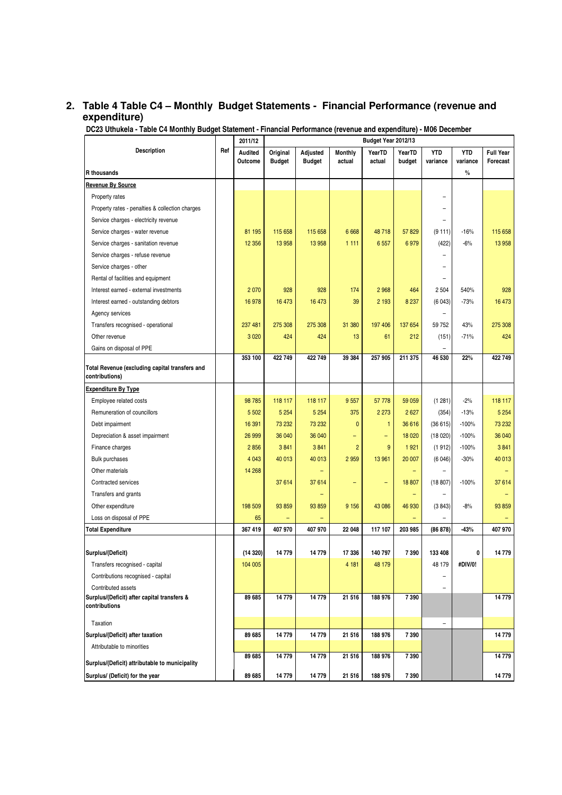## **2. Table 4 Table C4 – Monthly Budget Statements - Financial Performance (revenue and expenditure)**

**DC23 Uthukela - Table C4 Monthly Budget Statement - Financial Performance (revenue and expenditure) - M06 December**

|                                                                  |     | 2011/12        |               | Budget Year 2012/13 |                          |              |                          |            |            |                  |
|------------------------------------------------------------------|-----|----------------|---------------|---------------------|--------------------------|--------------|--------------------------|------------|------------|------------------|
| <b>Description</b>                                               | Ref | <b>Audited</b> | Original      | Adjusted            | <b>Monthly</b>           | YearTD       | YearTD                   | <b>YTD</b> | <b>YTD</b> | <b>Full Year</b> |
|                                                                  |     | Outcome        | <b>Budget</b> | <b>Budget</b>       | actual                   | actual       | budget                   | variance   | variance   | Forecast         |
| <b>R</b> thousands                                               |     |                |               |                     |                          |              |                          |            | $\%$       |                  |
| Revenue By Source                                                |     |                |               |                     |                          |              |                          |            |            |                  |
| Property rates                                                   |     |                |               |                     |                          |              |                          | -          |            |                  |
| Property rates - penalties & collection charges                  |     |                |               |                     |                          |              |                          |            |            |                  |
| Service charges - electricity revenue                            |     |                |               |                     |                          |              |                          |            |            |                  |
| Service charges - water revenue                                  |     | 81 195         | 115 658       | 115 658             | 6 6 6 8                  | 48718        | 57 829                   | (9111)     | $-16%$     | 115 658          |
| Service charges - sanitation revenue                             |     | 12 3 56        | 13 958        | 13 958              | 1 1 1 1                  | 6 5 5 7      | 6979                     | (422)      | $-6%$      | 13 958           |
| Service charges - refuse revenue                                 |     |                |               |                     |                          |              |                          |            |            |                  |
| Service charges - other                                          |     |                |               |                     |                          |              |                          |            |            |                  |
| Rental of facilities and equipment                               |     |                |               |                     |                          |              |                          |            |            |                  |
| Interest earned - external investments                           |     | 2 0 7 0        | 928           | 928                 | 174                      | 2 9 6 8      | 464                      | 2 5 0 4    | 540%       | 928              |
| Interest earned - outstanding debtors                            |     | 16 978         | 16 473        | 16 473              | 39                       | 2 1 9 3      | 8 2 3 7                  | (6043)     | $-73%$     | 16 473           |
| Agency services                                                  |     |                |               |                     |                          |              |                          |            |            |                  |
| Transfers recognised - operational                               |     | 237 481        | 275 308       | 275 308             | 31 380                   | 197 406      | 137 654                  | 59 752     | 43%        | 275 308          |
| Other revenue                                                    |     | 3 0 20         | 424           | 424                 | 13                       | 61           | 212                      | (151)      | $-71%$     | 424              |
| Gains on disposal of PPE                                         |     |                |               |                     |                          |              |                          | ÷          |            |                  |
|                                                                  |     | 353 100        | 422 749       | 422 749             | 39 384                   | 257 905      | 211 375                  | 46 530     | 22%        | 422749           |
| Total Revenue (excluding capital transfers and<br>contributions) |     |                |               |                     |                          |              |                          |            |            |                  |
| <b>Expenditure By Type</b>                                       |     |                |               |                     |                          |              |                          |            |            |                  |
| Employee related costs                                           |     | 98 785         | 118 117       | 118 117             | 9557                     | 57 778       | 59 059                   | (1281)     | $-2%$      | 118 117          |
| Remuneration of councillors                                      |     | 5 5 0 2        | 5 2 5 4       | 5 2 5 4             | 375                      | 2 2 7 3      | 2 6 27                   | (354)      | $-13%$     | 5 2 5 4          |
| Debt impairment                                                  |     | 16 391         | 73 232        | 73 232              | $\mathbf{0}$             | $\mathbf{1}$ | 36 616                   | (36615)    | $-100%$    | 73 232           |
| Depreciation & asset impairment                                  |     | 26 999         | 36 040        | 36 040              | -                        | -            | 18 0 20                  | (18020)    | $-100%$    | 36 040           |
| Finance charges                                                  |     | 2856           | 3841          | 3841                | $\overline{2}$           | 9            | 1921                     | (1912)     | $-100%$    | 3841             |
| <b>Bulk purchases</b>                                            |     | 4 0 4 3        | 40 013        | 40 013              | 2 9 5 9                  | 13 961       | 20 007                   | (6046)     | $-30%$     | 40 013           |
| Other materials                                                  |     | 14 268         |               |                     |                          |              | ۳                        |            |            |                  |
| Contracted services                                              |     |                | 37 614        | 37614               | $\overline{\phantom{0}}$ | ۰            | 18 807                   | (18807)    | $-100%$    | 37614            |
| Transfers and grants                                             |     |                |               |                     |                          |              | $\overline{\phantom{0}}$ |            |            |                  |
| Other expenditure                                                |     | 198 509        | 93 859        | 93 859              | 9 1 5 6                  | 43 086       | 46 930                   | (3843)     | $-8%$      | 93 859           |
| Loss on disposal of PPE                                          |     | 65             |               |                     |                          |              |                          |            |            |                  |
| <b>Total Expenditure</b>                                         |     | 367 419        | 407 970       | 407 970             | 22 048                   | 117 107      | 203 985                  | (86 878)   | $-43%$     | 407 970          |
|                                                                  |     |                |               |                     |                          |              |                          |            |            |                  |
| Surplus/(Deficit)                                                |     | (14320)        | 14779         | 14779               | 17 336                   | 140 797      | 7 3 9 0                  | 133 408    | 0          | 14779            |
| Transfers recognised - capital                                   |     | 104 005        |               |                     | 4 181                    | 48 179       |                          | 48 179     | #DIV/0!    |                  |
| Contributions recognised - capital                               |     |                |               |                     |                          |              |                          |            |            |                  |
| Contributed assets                                               |     |                |               |                     |                          |              |                          |            |            |                  |
| Surplus/(Deficit) after capital transfers &                      |     | 89 685         | 14 779        | 14779               | 21 516                   | 188 976      | 7 3 9 0                  |            |            | 14779            |
| contributions                                                    |     |                |               |                     |                          |              |                          |            |            |                  |
| Taxation                                                         |     |                |               |                     |                          |              |                          | -          |            |                  |
| Surplus/(Deficit) after taxation                                 |     | 89 685         | 14779         | 14779               | 21 516                   | 188 976      | 7 3 9 0                  |            |            | 14779            |
| Attributable to minorities                                       |     |                |               |                     |                          |              |                          |            |            |                  |
| Surplus/(Deficit) attributable to municipality                   |     | 89 685         | 14779         | 14779               | 21 516                   | 188 976      | 7 390                    |            |            | 14779            |
| Surplus/ (Deficit) for the year                                  |     | 89 685         | 14 779        | 14779               | 21 516                   | 188 976      | 7 3 9 0                  |            |            | 14779            |
|                                                                  |     |                |               |                     |                          |              |                          |            |            |                  |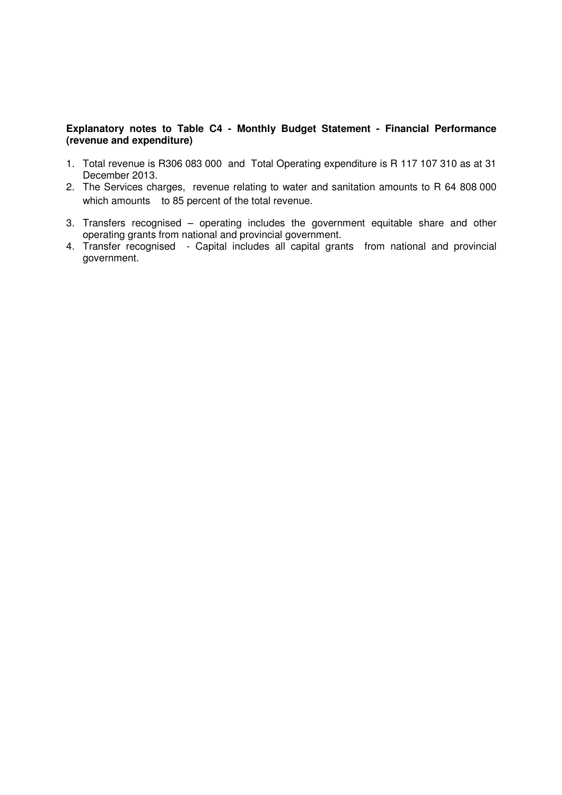#### **Explanatory notes to Table C4 - Monthly Budget Statement - Financial Performance (revenue and expenditure)**

- 1. Total revenue is R306 083 000 and Total Operating expenditure is R 117 107 310 as at 31 December 2013.
- 2. The Services charges, revenue relating to water and sanitation amounts to R 64 808 000 which amounts to 85 percent of the total revenue.
- 3. Transfers recognised operating includes the government equitable share and other operating grants from national and provincial government.
- 4. Transfer recognised Capital includes all capital grants from national and provincial government.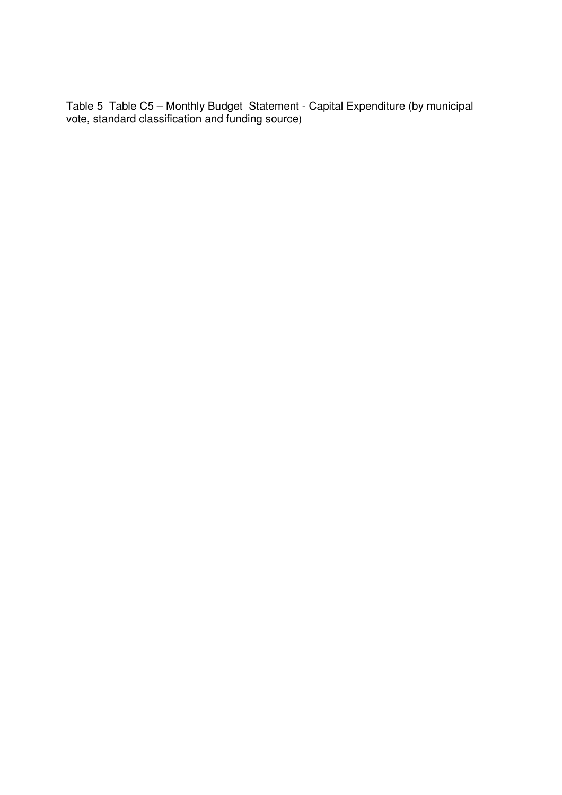Table 5 Table C5 – Monthly Budget Statement - Capital Expenditure (by municipal vote, standard classification and funding source)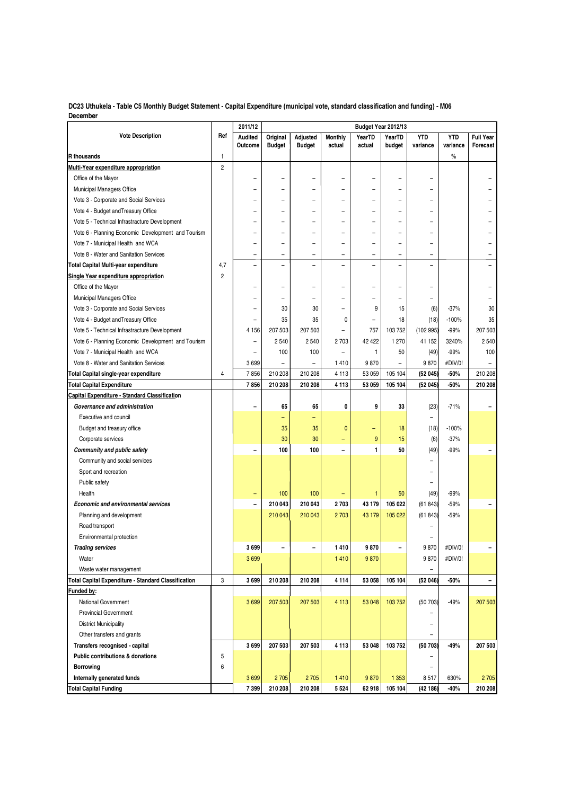**DC23 Uthukela - Table C5 Monthly Budget Statement - Capital Expenditure (municipal vote, standard classification and funding) - M06 December**

|                                                            |                | 2011/12                  |                           |                           |                          |                  | Budget Year 2012/13      |                        |                        |                              |
|------------------------------------------------------------|----------------|--------------------------|---------------------------|---------------------------|--------------------------|------------------|--------------------------|------------------------|------------------------|------------------------------|
| <b>Vote Description</b>                                    | Ref            | Audited<br>Outcome       | Original<br><b>Budget</b> | Adjusted<br><b>Budget</b> | <b>Monthly</b><br>actual | YearTD<br>actual | YearTD<br>budget         | <b>YTD</b><br>variance | <b>YTD</b><br>variance | <b>Full Year</b><br>Forecast |
| R thousands                                                | $\mathbf{1}$   |                          |                           |                           |                          |                  |                          |                        | $\%$                   |                              |
| Multi-Year expenditure appropriation                       | $\overline{2}$ |                          |                           |                           |                          |                  |                          |                        |                        |                              |
| Office of the Mayor                                        |                |                          | ۰                         |                           | -                        |                  | $\overline{\phantom{a}}$ |                        |                        |                              |
| Municipal Managers Office                                  |                |                          |                           |                           |                          |                  |                          |                        |                        |                              |
| Vote 3 - Corporate and Social Services                     |                |                          |                           |                           | -                        |                  | ÷                        |                        |                        |                              |
| Vote 4 - Budget and Treasury Office                        |                |                          | ۰                         | $\overline{\phantom{0}}$  | -                        | ۳                | ۰                        |                        |                        |                              |
| Vote 5 - Technical Infrastracture Development              |                |                          |                           |                           |                          |                  |                          |                        |                        |                              |
| Vote 6 - Planning Economic Development and Tourism         |                |                          | ÷                         | $\equiv$                  | $\overline{a}$           |                  | $\overline{\phantom{a}}$ |                        |                        |                              |
| Vote 7 - Municipal Health and WCA                          |                |                          | -                         | $\overline{\phantom{0}}$  | -                        |                  | $\overline{\phantom{0}}$ | -                      |                        |                              |
| Vote 8 - Water and Sanitation Services                     |                |                          | -                         | -                         | -                        | -                | $\qquad \qquad -$        | -                      |                        |                              |
| Total Capital Multi-year expenditure                       | 4,7            | $\overline{\phantom{0}}$ | Ē,                        | ۳                         | $\overline{ }$           |                  | $\overline{\phantom{0}}$ |                        |                        |                              |
| Single Year expenditure appropriation                      | $\overline{2}$ |                          |                           |                           |                          |                  |                          |                        |                        |                              |
| Office of the Mayor                                        |                |                          |                           |                           |                          |                  | $\overline{a}$           |                        |                        |                              |
| Municipal Managers Office                                  |                |                          |                           | $\overline{\phantom{0}}$  |                          |                  | $\equiv$                 |                        |                        |                              |
| Vote 3 - Corporate and Social Services                     |                |                          | 30                        | 30                        | ÷,                       | 9                | 15                       | (6)                    | $-37%$                 | 30                           |
| Vote 4 - Budget and Treasury Office                        |                |                          | 35                        | 35                        | 0                        | $\overline{a}$   | 18                       | (18)                   | $-100%$                | 35                           |
| Vote 5 - Technical Infrastracture Development              |                | 4 1 5 6                  | 207 503                   | 207 503                   | ÷                        | 757              | 103 752                  | (102 995)              | $-99%$                 | 207 503                      |
| Vote 6 - Planning Economic Development and Tourism         |                | $\overline{\phantom{0}}$ | 2540                      | 2540                      | 2703                     | 42 422           | 1 2 7 0                  | 41 152                 | 3240%                  | 2 5 4 0                      |
| Vote 7 - Municipal Health and WCA                          |                |                          | 100                       | 100                       | $\overline{\phantom{0}}$ | $\mathbf{1}$     | 50                       | (49)                   | $-99%$                 | 100                          |
| Vote 8 - Water and Sanitation Services                     |                | 3699                     | $\overline{\phantom{0}}$  | $\overline{\phantom{a}}$  | 1410                     | 9870             | $\overline{\phantom{0}}$ | 9870                   | #DIV/0!                | $\overline{\phantom{a}}$     |
| Total Capital single-year expenditure                      | 4              | 7856                     | 210 208                   | 210 208                   | 4 1 1 3                  | 53 059           | 105 104                  | (52045)                | -50%                   | 210 208                      |
| <b>Total Capital Expenditure</b>                           |                | 7856                     | 210 208                   | 210 208                   | 4 1 1 3                  | 53 059           | 105 104                  | (52045)                | $-50%$                 | 210 208                      |
| Capital Expenditure - Standard Classification              |                |                          |                           |                           |                          |                  |                          |                        |                        |                              |
| Governance and administration                              |                |                          | 65                        | 65                        | 0                        | 9                | 33                       | (23)                   | $-71%$                 |                              |
| <b>Executive and council</b>                               |                |                          | ۳                         | ÷                         |                          |                  |                          | ÷                      |                        |                              |
| Budget and treasury office                                 |                |                          | 35                        | 35                        | $\mathbf{0}$             |                  | 18                       | (18)                   | $-100%$                |                              |
| Corporate services                                         |                |                          | 30                        | 30                        | Ξ                        | 9                | 15                       | (6)                    | $-37%$                 |                              |
| Community and public safety                                |                |                          | 100                       | 100                       | -                        | 1                | 50                       | (49)                   | $-99%$                 |                              |
| Community and social services                              |                |                          |                           |                           |                          |                  |                          |                        |                        |                              |
| Sport and recreation                                       |                |                          |                           |                           |                          |                  |                          |                        |                        |                              |
| Public safety                                              |                |                          |                           |                           |                          |                  |                          |                        |                        |                              |
| Health                                                     |                |                          | 100                       | 100                       |                          | $\mathbf{1}$     | 50                       | (49)                   | $-99%$                 |                              |
| <b>Economic and environmental services</b>                 |                | $\blacksquare$           | 210 043                   | 210 043                   | 2703                     | 43 179           | 105 022                  | (61843)                | $-59%$                 | $\overline{\phantom{0}}$     |
| Planning and development                                   |                |                          | 210 043                   | 210 043                   | 2703                     | 43 179           | 105 022                  | (61843)                | $-59%$                 |                              |
| Road transport                                             |                |                          |                           |                           |                          |                  |                          |                        |                        |                              |
| Environmental protection                                   |                |                          |                           |                           |                          |                  |                          |                        |                        |                              |
| <b>Trading services</b>                                    |                | 3699                     | -                         |                           | 1410                     | 9870             | ۰                        | 9870                   | #DIV/0!                |                              |
| Water                                                      |                | 3699                     |                           |                           | 1410                     | 9870             |                          | 9870                   | #DIV/0!                |                              |
| Waste water management                                     |                |                          |                           |                           |                          |                  |                          | -                      |                        |                              |
| <b>Total Capital Expenditure - Standard Classification</b> | 3              | 3699                     | 210 208                   | 210 208                   | 4114                     | 53 058           | 105 104                  | (52046)                | -50%                   | ÷                            |
| Funded by:                                                 |                |                          |                           |                           |                          |                  |                          |                        |                        |                              |
| <b>National Government</b>                                 |                | 3699                     | 207 503                   | 207 503                   | 4 1 1 3                  | 53 048           | 103 752                  | (50703)                | $-49%$                 | 207 503                      |
| <b>Provincial Government</b>                               |                |                          |                           |                           |                          |                  |                          |                        |                        |                              |
| <b>District Municipality</b>                               |                |                          |                           |                           |                          |                  |                          |                        |                        |                              |
| Other transfers and grants                                 |                |                          |                           |                           |                          |                  |                          | $\qquad \qquad -$      |                        |                              |
| Transfers recognised - capital                             |                | 3699                     | 207 503                   | 207 503                   | 4 1 1 3                  | 53 048           | 103752                   | (50703)                | -49%                   | 207 503                      |
| Public contributions & donations                           | 5              |                          |                           |                           |                          |                  |                          |                        |                        |                              |
| <b>Borrowing</b>                                           |                |                          |                           |                           |                          |                  |                          |                        |                        |                              |
|                                                            | 6              |                          |                           |                           |                          |                  |                          |                        |                        |                              |
| Internally generated funds                                 |                | 3699                     | 2705                      | 2705                      | 1410                     | 9870             | 1 3 5 3                  | 8517                   | 630%<br>$-40%$         | 2705                         |
| <b>Total Capital Funding</b>                               |                | 7399                     | 210 208                   | 210 208                   | 5 5 2 4                  | 62 918           | 105 104                  | (42186)                |                        | 210 208                      |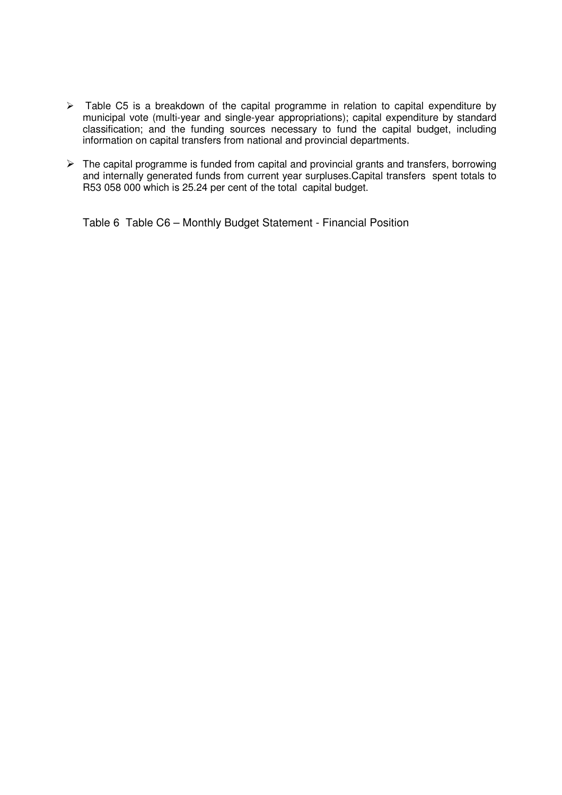- $\triangleright$  Table C5 is a breakdown of the capital programme in relation to capital expenditure by municipal vote (multi-year and single-year appropriations); capital expenditure by standard classification; and the funding sources necessary to fund the capital budget, including information on capital transfers from national and provincial departments.
- $\triangleright$  The capital programme is funded from capital and provincial grants and transfers, borrowing and internally generated funds from current year surpluses.Capital transfers spent totals to R53 058 000 which is 25.24 per cent of the total capital budget.

Table 6 Table C6 – Monthly Budget Statement - Financial Position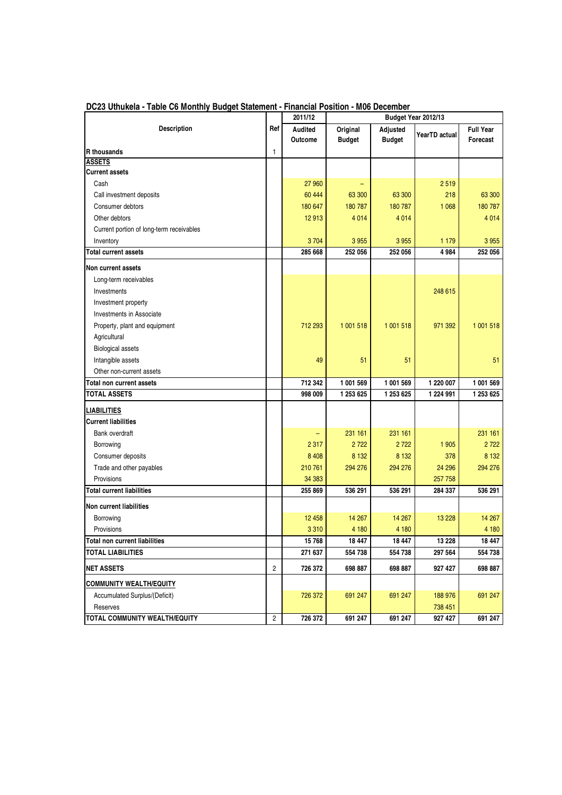|                                          |            | 2011/12 |               |               | Budget Year 2012/13 |                  |
|------------------------------------------|------------|---------|---------------|---------------|---------------------|------------------|
| <b>Description</b>                       | Ref        | Audited | Original      | Adjusted      |                     | <b>Full Year</b> |
|                                          |            | Outcome | <b>Budget</b> | <b>Budget</b> | YearTD actual       | Forecast         |
| <b>R</b> thousands                       | 1          |         |               |               |                     |                  |
| <b>ASSETS</b>                            |            |         |               |               |                     |                  |
| <b>Current assets</b>                    |            |         |               |               |                     |                  |
| Cash                                     |            | 27 960  |               |               | 2519                |                  |
| Call investment deposits                 |            | 60 444  | 63 300        | 63 300        | 218                 | 63 300           |
| Consumer debtors                         |            | 180 647 | 180 787       | 180 787       | 1 0 68              | 180 787          |
| Other debtors                            |            | 12 913  | 4 0 1 4       | 4 0 1 4       |                     | 4 0 14           |
| Current portion of long-term receivables |            |         |               |               |                     |                  |
| Inventory                                |            | 3704    | 3 9 5 5       | 3 9 5 5       | 1 1 7 9             | 3 9 5 5          |
| <b>Total current assets</b>              |            | 285 668 | 252 056       | 252 056       | 4984                | 252 056          |
| Non current assets                       |            |         |               |               |                     |                  |
| Long-term receivables                    |            |         |               |               |                     |                  |
| Investments                              |            |         |               |               | 248 615             |                  |
| Investment property                      |            |         |               |               |                     |                  |
| Investments in Associate                 |            |         |               |               |                     |                  |
| Property, plant and equipment            |            | 712 293 | 1 001 518     | 1 001 518     | 971 392             | 1 001 518        |
| Agricultural                             |            |         |               |               |                     |                  |
| <b>Biological assets</b>                 |            |         |               |               |                     |                  |
| Intangible assets                        |            | 49      | 51            | 51            |                     | 51               |
| Other non-current assets                 |            |         |               |               |                     |                  |
| Total non current assets                 |            | 712 342 | 1 001 569     | 1 001 569     | 1 220 007           | 1 001 569        |
| TOTAL ASSETS                             |            | 998 009 | 1 253 625     | 1 253 625     | 1 224 991           | 1 253 625        |
| LIABILITIES                              |            |         |               |               |                     |                  |
| <b>Current liabilities</b>               |            |         |               |               |                     |                  |
| <b>Bank overdraft</b>                    |            |         | 231 161       | 231 161       |                     | 231 161          |
| Borrowing                                |            | 2 3 1 7 | 2722          | 2722          | 1905                | 2 7 2 2          |
| Consumer deposits                        |            | 8 4 0 8 | 8 1 3 2       | 8 1 3 2       | 378                 | 8 1 3 2          |
| Trade and other payables                 |            | 210 761 | 294 276       | 294 276       | 24 29 6             | 294 276          |
| Provisions                               |            | 34 383  |               |               | 257758              |                  |
| <b>Total current liabilities</b>         |            | 255 869 | 536 291       | 536 291       | 284 337             | 536 291          |
| Non current liabilities                  |            |         |               |               |                     |                  |
| Borrowing                                |            | 12 458  | 14 267        | 14 267        | 13 2 28             | 14 267           |
| Provisions                               |            | 3 3 1 0 | 4 180         | 4 180         |                     | 4 180            |
| <b>Total non current liabilities</b>     |            | 15 768  | 18 447        | 18 447        | 13 2 28             | 18 447           |
| <b>TOTAL LIABILITIES</b>                 |            | 271 637 | 554 738       | 554 738       | 297 564             | 554 738          |
| <b>NET ASSETS</b>                        | 2          | 726 372 | 698 887       | 698 887       | 927 427             | 698 887          |
| <b>COMMUNITY WEALTH/EQUITY</b>           |            |         |               |               |                     |                  |
| Accumulated Surplus/(Deficit)            |            | 726 372 | 691 247       | 691 247       | 188 976             | 691 247          |
| Reserves                                 |            |         |               |               | 738 451             |                  |
| TOTAL COMMUNITY WEALTH/EQUITY            | $\sqrt{2}$ | 726 372 | 691 247       | 691 247       | 927 427             | 691 247          |

**DC23 Uthukela - Table C6 Monthly Budget Statement - Financial Position - M06 December**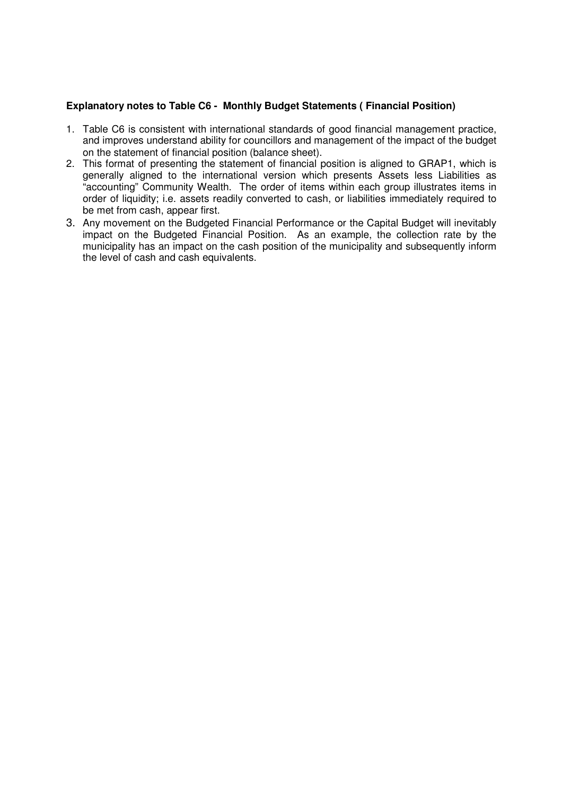#### **Explanatory notes to Table C6 - Monthly Budget Statements ( Financial Position)**

- 1. Table C6 is consistent with international standards of good financial management practice, and improves understand ability for councillors and management of the impact of the budget on the statement of financial position (balance sheet).
- 2. This format of presenting the statement of financial position is aligned to GRAP1, which is generally aligned to the international version which presents Assets less Liabilities as "accounting" Community Wealth. The order of items within each group illustrates items in order of liquidity; i.e. assets readily converted to cash, or liabilities immediately required to be met from cash, appear first.
- 3. Any movement on the Budgeted Financial Performance or the Capital Budget will inevitably impact on the Budgeted Financial Position. As an example, the collection rate by the municipality has an impact on the cash position of the municipality and subsequently inform the level of cash and cash equivalents.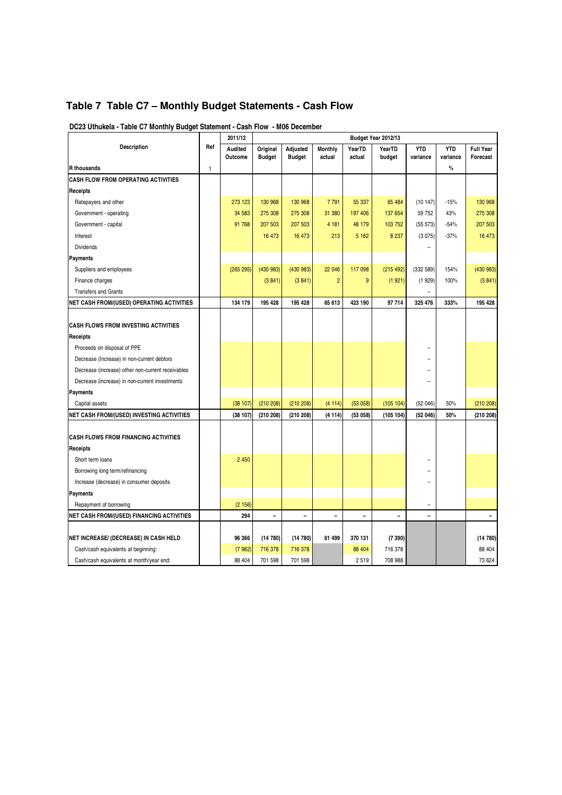## **Table 7 Table C7 – Monthly Budget Statements - Cash Flow**

|                                                   |     | 2011/12            |                           |                           |                   |                  | Budget Year 2012/13 |                          |                        |                              |
|---------------------------------------------------|-----|--------------------|---------------------------|---------------------------|-------------------|------------------|---------------------|--------------------------|------------------------|------------------------------|
| <b>Description</b>                                | Ref | Audited<br>Outcome | Original<br><b>Budget</b> | Adjusted<br><b>Budget</b> | Monthly<br>actual | YearTD<br>actual | YearTD<br>budget    | <b>YTD</b><br>variance   | <b>YTD</b><br>variance | <b>Full Year</b><br>Forecast |
| <b>R</b> thousands                                | 1   |                    |                           |                           |                   |                  |                     |                          | $\%$                   |                              |
| <b>CASH FLOW FROM OPERATING ACTIVITIES</b>        |     |                    |                           |                           |                   |                  |                     |                          |                        |                              |
| Receipts                                          |     |                    |                           |                           |                   |                  |                     |                          |                        |                              |
| Ratepayers and other                              |     | 273 123            | 130 968                   | 130 968                   | 7791              | 55 337           | 65 484              | (10147)                  | $-15%$                 | 130 968                      |
| Government - operating                            |     | 34 583             | 275 308                   | 275 308                   | 31 380            | 197 406          | 137 654             | 59 752                   | 43%                    | 275 308                      |
| Government - capital                              |     | 91 768             | 207 503                   | 207 503                   | 4 1 8 1           | 48 179           | 103 752             | (55 573)                 | $-54%$                 | 207 503                      |
| Interest                                          |     |                    | 16 473                    | 16 473                    | 213               | 5 1 6 2          | 8 2 3 7             | (3075)                   | $-37%$                 | 16 473                       |
| <b>Dividends</b>                                  |     |                    |                           |                           |                   |                  |                     |                          |                        |                              |
| Payments                                          |     |                    |                           |                           |                   |                  |                     |                          |                        |                              |
| Suppliers and employees                           |     | (265 295)          | (430983)                  | (430983)                  | 22 046            | 117 098          | (215 492)           | (332 589)                | 154%                   | (430983)                     |
| Finance charges                                   |     |                    | (3841)                    | (3841)                    | $\overline{2}$    | 9                | (1921)              | (1929)                   | 100%                   | (3841)                       |
| <b>Transfers and Grants</b>                       |     |                    |                           |                           |                   |                  |                     | $\overline{a}$           |                        |                              |
| <b>NET CASH FROM/(USED) OPERATING ACTIVITIES</b>  |     | 134 179            | 195 428                   | 195 428                   | 65 613            | 423 190          | 97 714              | 325 476                  | 333%                   | 195 428                      |
|                                                   |     |                    |                           |                           |                   |                  |                     |                          |                        |                              |
| <b>CASH FLOWS FROM INVESTING ACTIVITIES</b>       |     |                    |                           |                           |                   |                  |                     |                          |                        |                              |
| Receipts                                          |     |                    |                           |                           |                   |                  |                     |                          |                        |                              |
| Proceeds on disposal of PPE                       |     |                    |                           |                           |                   |                  |                     |                          |                        |                              |
| Decrease (Increase) in non-current debtors        |     |                    |                           |                           |                   |                  |                     |                          |                        |                              |
| Decrease (increase) other non-current receivables |     |                    |                           |                           |                   |                  |                     |                          |                        |                              |
| Decrease (increase) in non-current investments    |     |                    |                           |                           |                   |                  |                     |                          |                        |                              |
| <b>Payments</b>                                   |     |                    |                           |                           |                   |                  |                     |                          |                        |                              |
| Capital assets                                    |     | (38 107)           | (210 208)                 | (210 208)                 | (4114)            | (53058)          | (105 104)           | (52046)                  | 50%                    | (210 208)                    |
| NET CASH FROM/(USED) INVESTING ACTIVITIES         |     | (38107)            | (210 208)                 | (210 208)                 | (4114)            | (53058)          | (105 104)           | (52046)                  | 50%                    | (210 208)                    |
| <b>CASH FLOWS FROM FINANCING ACTIVITIES</b>       |     |                    |                           |                           |                   |                  |                     |                          |                        |                              |
| Receipts                                          |     |                    |                           |                           |                   |                  |                     |                          |                        |                              |
| Short term loans                                  |     | 2 4 5 0            |                           |                           |                   |                  |                     |                          |                        |                              |
| Borrowing long term/refinancing                   |     |                    |                           |                           |                   |                  |                     |                          |                        |                              |
| Increase (decrease) in consumer deposits          |     |                    |                           |                           |                   |                  |                     |                          |                        |                              |
| <b>Payments</b>                                   |     |                    |                           |                           |                   |                  |                     |                          |                        |                              |
| Repayment of borrowing                            |     | (2156)             |                           |                           |                   |                  |                     | $\overline{\phantom{0}}$ |                        |                              |
| <b>NET CASH FROM/(USED) FINANCING ACTIVITIES</b>  |     | 294                | $\overline{\phantom{0}}$  | $\overline{\phantom{0}}$  | L.                | ۰                | $\blacksquare$      | $\blacksquare$           |                        | $\overline{\phantom{0}}$     |
|                                                   |     |                    |                           |                           |                   |                  |                     |                          |                        |                              |
| <b>NET INCREASE/ (DECREASE) IN CASH HELD</b>      |     | 96 366             | (14780)                   | (14780)                   | 61 499            | 370 131          | (7390)              |                          |                        | (14780)                      |
| Cash/cash equivalents at beginning:               |     | (7962)             | 716 378                   | 716 378                   |                   | 88 404           | 716 378             |                          |                        | 88 404                       |
| Cash/cash equivalents at month/year end:          |     | 88 404             | 701 598                   | 701 598                   |                   | 2519             | 708 988             |                          |                        | 73 624                       |

**DC23 Uthukela - Table C7 Monthly Budget Statement - Cash Flow - M06 December**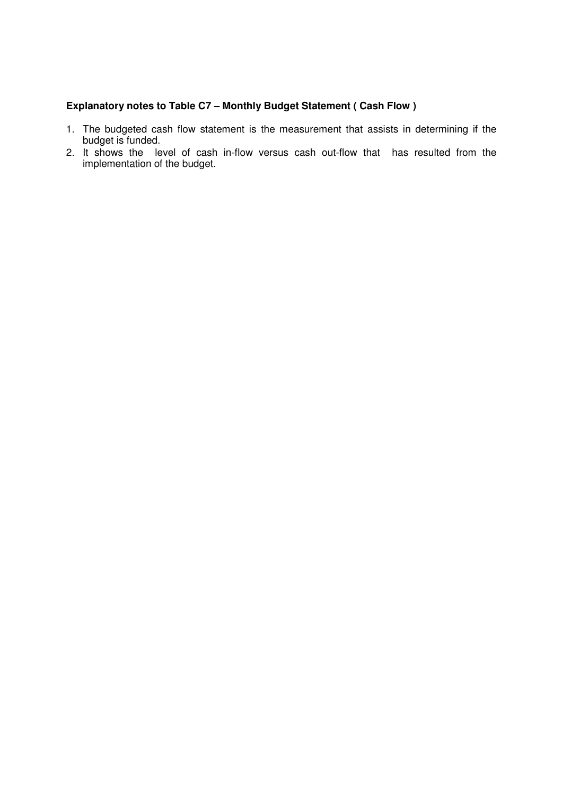## **Explanatory notes to Table C7 – Monthly Budget Statement ( Cash Flow )**

- 1. The budgeted cash flow statement is the measurement that assists in determining if the budget is funded.
- 2. It shows the level of cash in-flow versus cash out-flow that has resulted from the implementation of the budget.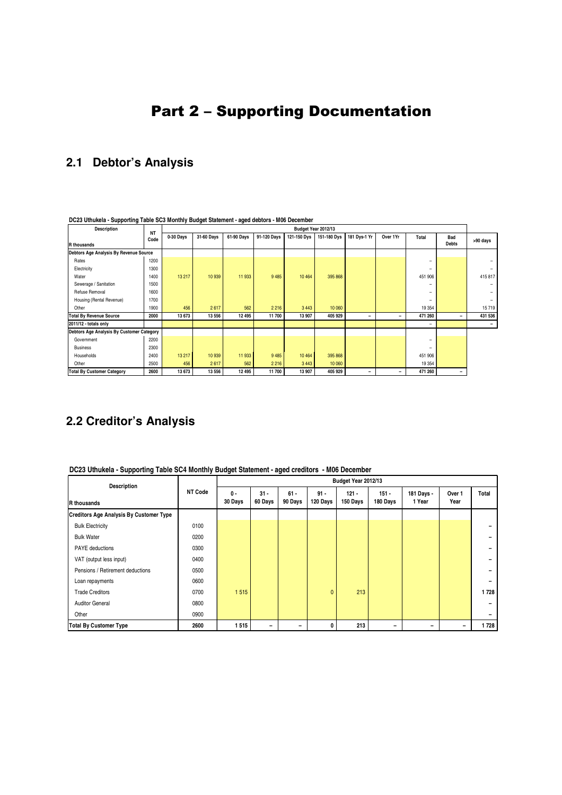# 2 Part 2 – Supporting Documentation

# **2.1 Debtor's Analysis**

| <b>Description</b>                        |                   |           |            |            |             |             | Budget Year 2012/13 |              |          |         |                     |          |
|-------------------------------------------|-------------------|-----------|------------|------------|-------------|-------------|---------------------|--------------|----------|---------|---------------------|----------|
| R thousands                               | <b>NT</b><br>Code | 0-30 Days | 31-60 Davs | 61-90 Davs | 91-120 Days | 121-150 Dvs | 151-180 Dvs         | 181 Dys-1 Yr | Over 1Yr | Total   | Bad<br><b>Debts</b> | >90 days |
| Debtors Age Analysis By Revenue Source    |                   |           |            |            |             |             |                     |              |          |         |                     |          |
| Rates                                     | 1200              |           |            |            |             |             |                     |              |          |         |                     |          |
| Electricity                               | 1300              |           |            |            |             |             |                     |              |          |         |                     |          |
| Water                                     | 1400              | 13 217    | 10 939     | 11 933     | 9 4 8 5     | 10 4 64     | 395 868             |              |          | 451 906 |                     | 415 817  |
| Sewerage / Sanitation                     | 1500              |           |            |            |             |             |                     |              |          |         |                     |          |
| Refuse Removal                            | 1600              |           |            |            |             |             |                     |              |          |         |                     |          |
| Housing (Rental Revenue)                  | 1700              |           |            |            |             |             |                     |              |          |         |                     |          |
| Other                                     | 1900              | 456       | 2617       | 562        | 2 2 1 6     | 3 4 4 3     | 10 060              |              |          | 19 3 54 |                     | 15719    |
| <b>Total By Revenue Source</b>            | 2000              | 13 673    | 13 556     | 12 4 9 5   | 11 700      | 13 907      | 405 929             | -            | -        | 471 260 | -                   | 431 536  |
| 2011/12 - totals only                     |                   |           |            |            |             |             |                     |              |          |         |                     |          |
| Debtors Age Analysis By Customer Category |                   |           |            |            |             |             |                     |              |          |         |                     |          |
| Government                                | 2200              |           |            |            |             |             |                     |              |          |         |                     |          |
| <b>Business</b>                           | 2300              |           |            |            |             |             |                     |              |          |         |                     |          |
| Households                                | 2400              | 13 217    | 10 939     | 11 933     | 9 4 8 5     | 10 4 64     | 395 868             |              |          | 451 906 |                     |          |
| Other                                     | 2500              | 456       | 2617       | 562        | 2 2 1 6     | 3 4 4 3     | 10 060              |              |          | 19 3 54 |                     |          |
| <b>Total By Customer Category</b>         | 2600              | 13 673    | 13 556     | 12 495     | 11 700      | 13 907      | 405 929             | -            |          | 471 260 | ۰                   |          |

**DC23 Uthukela - Supporting Table SC3 Monthly Budget Statement - aged debtors - M06 December**

## **2.2 Creditor's Analysis**

**DC23 Uthukela - Supporting Table SC4 Monthly Budget Statement - aged creditors - M06 December**

| <b>Description</b>                             | <b>NT Code</b> | Budget Year 2012/13 |                   |                   |                    |                     |                     |                      |                 |       |
|------------------------------------------------|----------------|---------------------|-------------------|-------------------|--------------------|---------------------|---------------------|----------------------|-----------------|-------|
| <b>R</b> thousands                             |                | $0 -$<br>30 Days    | $31 -$<br>60 Days | $61 -$<br>90 Days | $91 -$<br>120 Days | $121 -$<br>150 Days | $151 -$<br>180 Days | 181 Days -<br>1 Year | Over 1<br>Year  | Total |
| <b>Creditors Age Analysis By Customer Type</b> |                |                     |                   |                   |                    |                     |                     |                      |                 |       |
| <b>Bulk Electricity</b>                        | 0100           |                     |                   |                   |                    |                     |                     |                      |                 |       |
| <b>Bulk Water</b>                              | 0200           |                     |                   |                   |                    |                     |                     |                      |                 |       |
| PAYE deductions                                | 0300           |                     |                   |                   |                    |                     |                     |                      |                 |       |
| VAT (output less input)                        | 0400           |                     |                   |                   |                    |                     |                     |                      |                 |       |
| Pensions / Retirement deductions               | 0500           |                     |                   |                   |                    |                     |                     |                      |                 |       |
| Loan repayments                                | 0600           |                     |                   |                   |                    |                     |                     |                      |                 |       |
| <b>Trade Creditors</b>                         | 0700           | 1515                |                   |                   | $\mathbf{0}$       | 213                 |                     |                      |                 | 1728  |
| <b>Auditor General</b>                         | 0800           |                     |                   |                   |                    |                     |                     |                      |                 |       |
| Other                                          | 0900           |                     |                   |                   |                    |                     |                     |                      |                 |       |
| <b>Total By Customer Type</b>                  | 2600           | 1515                |                   |                   | 0                  | 213                 |                     |                      | $\qquad \qquad$ | 1728  |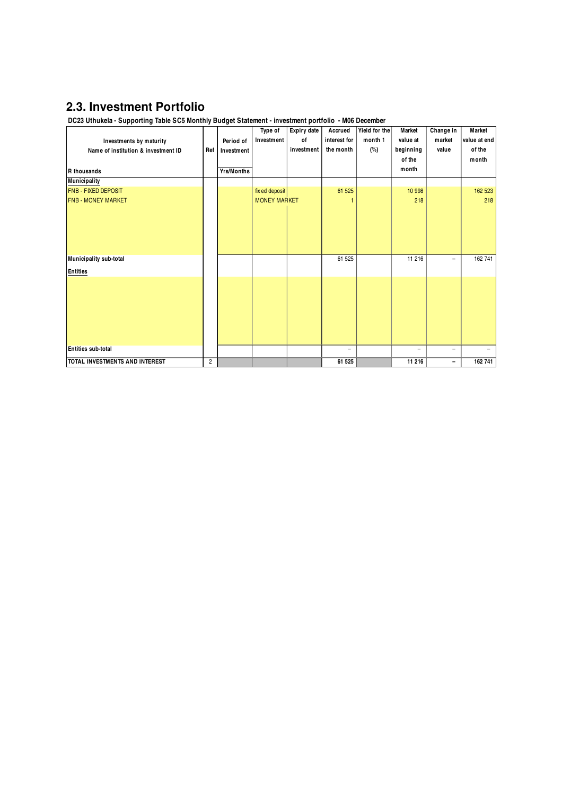## **2.3. Investment Portfolio**

**DC23 Uthukela - Supporting Table SC5 Monthly Budget Statement - investment portfolio - M06 December**

|                                     |                |                   | Type of             | <b>Expiry date</b> | Accrued                  | Yield for the | Market    | Change in | Market       |
|-------------------------------------|----------------|-------------------|---------------------|--------------------|--------------------------|---------------|-----------|-----------|--------------|
| Investments by maturity             |                | Period of         | <b>Investment</b>   | of                 | interest for             | month 1       | value at  | market    | value at end |
| Name of institution & investment ID | Ref            | Investment        |                     | investment         | the month                | (%)           | beginning | value     | of the       |
|                                     |                |                   |                     |                    |                          |               | of the    |           | month        |
| <b>R</b> thousands                  |                | <b>Yrs/Months</b> |                     |                    |                          |               | month     |           |              |
| <b>Municipality</b>                 |                |                   |                     |                    |                          |               |           |           |              |
| <b>FNB - FIXED DEPOSIT</b>          |                |                   | fix ed deposit      |                    | 61 525                   |               | 10 998    |           | 162 523      |
| <b>FNB - MONEY MARKET</b>           |                |                   | <b>MONEY MARKET</b> |                    |                          |               | 218       |           | 218          |
|                                     |                |                   |                     |                    |                          |               |           |           |              |
| Municipality sub-total              |                |                   |                     |                    | 61 525                   |               | 11 216    | -         | 162 741      |
| <b>Entities</b>                     |                |                   |                     |                    |                          |               |           |           |              |
|                                     |                |                   |                     |                    |                          |               |           |           |              |
| Entities sub-total                  |                |                   |                     |                    | $\overline{\phantom{0}}$ |               | ۳         | -         |              |
| TOTAL INVESTMENTS AND INTEREST      | $\overline{c}$ |                   |                     |                    | 61 525                   |               | 11 216    | -         | 162 741      |